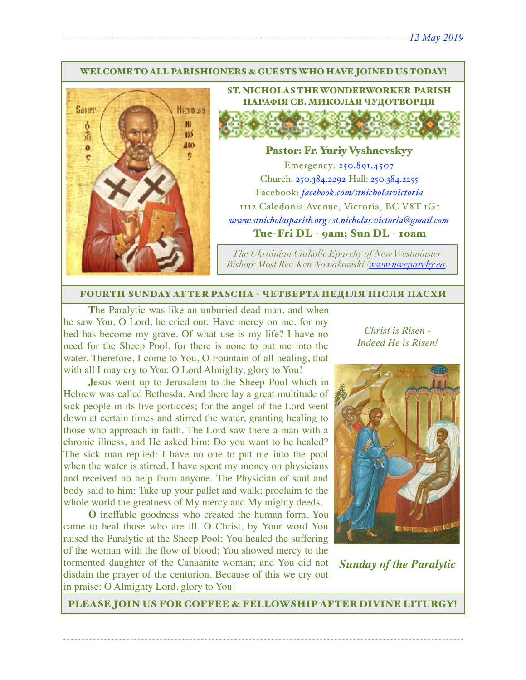### WELCOME TO ALL PARISHIONERS & GUESTS WHO HAVE JOINED US TODAY!



ST. NICHOLAS THE WONDERWORKER PARISH ПАРАФІЯ СВ. МИКОЛАЯ ЧУДОТВОРЦЯ

## Pastor: Fr. Yuriy Vyshnevskyy

Emergency: 250.891.4507 Church: 250.384.2292 Hall: 250.384.2255 Facebook: *[facebook.com/stnicholasvictoria](http://facebook.com/stnicholasvictoria)* 1112 Caledonia Avenue, Victoria, BC V8T 1G1 *[www.stnicholasparish.org](http://www.stnicholasparish.org) / [st.nicholas.victoria@gmail.com](mailto:st.nicholas.victoria@gmail.com)* Tue-Fri DL - 9am; Sun DL - 10am

*The Ukrainian Catholic Eparchy of New Westminster Bishop: Most Rev. Ken Nowakowski ([www.nweparchy.ca](http://www.nweparchy.ca))*

FOURTH SUNDAY AFTER PASCHA - ЧЕТВЕРТА НЕДІЛЯ ПІСЛЯ ПАСХИ

**T**he Paralytic was like an unburied dead man, and when he saw You, O Lord, he cried out: Have mercy on me, for my bed has become my grave. Of what use is my life? I have no need for the Sheep Pool, for there is none to put me into the water. Therefore, I come to You, O Fountain of all healing, that with all I may cry to You: O Lord Almighty, glory to You!

**J**esus went up to Jerusalem to the Sheep Pool which in Hebrew was called Bethesda. And there lay a great multitude of sick people in its five porticoes; for the angel of the Lord went down at certain times and stirred the water, granting healing to those who approach in faith. The Lord saw there a man with a chronic illness, and He asked him: Do you want to be healed? The sick man replied: I have no one to put me into the pool when the water is stirred. I have spent my money on physicians and received no help from anyone. The Physician of soul and body said to him: Take up your pallet and walk; proclaim to the whole world the greatness of My mercy and My mighty deeds.

**O** ineffable goodness who created the human form, You came to heal those who are ill. O Christ, by Your word You raised the Paralytic at the Sheep Pool; You healed the suffering of the woman with the flow of blood; You showed mercy to the tormented daughter of the Canaanite woman; and You did not disdain the prayer of the centurion. Because of this we cry out in praise: O Almighty Lord, glory to You!

*Christ is Risen - Indeed He is Risen!* 



*Sunday of the Paralytic*

PLEASE JOIN US FOR COFFEE & FELLOWSHIP AFTER DIVINE LITURGY!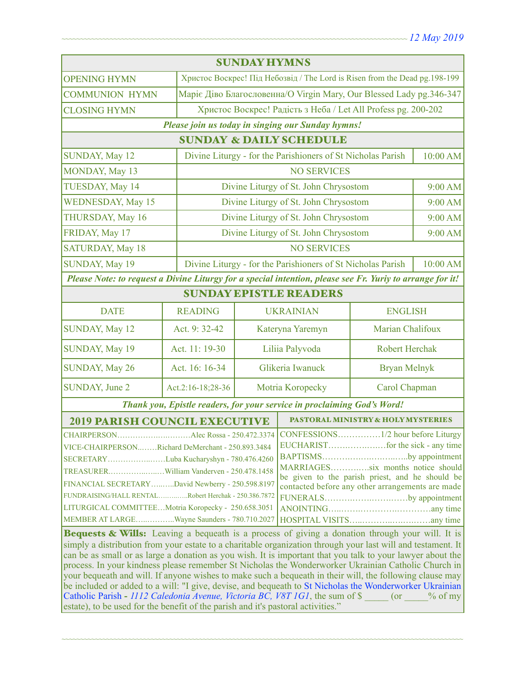| <b>SUNDAY HYMNS</b>                                                                                                                                                                                                                                                                                                                                                                                                                                                                                                                                                                                                                                                                                                                                                                                                                                                                                                                                                                                                                                                                                                                                                                                                                                                                                 |                |                                                                             |                  |                                               |                       |          |
|-----------------------------------------------------------------------------------------------------------------------------------------------------------------------------------------------------------------------------------------------------------------------------------------------------------------------------------------------------------------------------------------------------------------------------------------------------------------------------------------------------------------------------------------------------------------------------------------------------------------------------------------------------------------------------------------------------------------------------------------------------------------------------------------------------------------------------------------------------------------------------------------------------------------------------------------------------------------------------------------------------------------------------------------------------------------------------------------------------------------------------------------------------------------------------------------------------------------------------------------------------------------------------------------------------|----------------|-----------------------------------------------------------------------------|------------------|-----------------------------------------------|-----------------------|----------|
| <b>OPENING HYMN</b>                                                                                                                                                                                                                                                                                                                                                                                                                                                                                                                                                                                                                                                                                                                                                                                                                                                                                                                                                                                                                                                                                                                                                                                                                                                                                 |                | Христос Воскрес! Під Небозвід / The Lord is Risen from the Dead pg. 198-199 |                  |                                               |                       |          |
| <b>COMMUNION HYMN</b>                                                                                                                                                                                                                                                                                                                                                                                                                                                                                                                                                                                                                                                                                                                                                                                                                                                                                                                                                                                                                                                                                                                                                                                                                                                                               |                | Маріє Діво Благословенна/O Virgin Mary, Our Blessed Lady pg.346-347         |                  |                                               |                       |          |
| <b>CLOSING HYMN</b>                                                                                                                                                                                                                                                                                                                                                                                                                                                                                                                                                                                                                                                                                                                                                                                                                                                                                                                                                                                                                                                                                                                                                                                                                                                                                 |                | Христос Воскрес! Радість з Неба / Let All Profess pg. 200-202               |                  |                                               |                       |          |
| Please join us today in singing our Sunday hymns!                                                                                                                                                                                                                                                                                                                                                                                                                                                                                                                                                                                                                                                                                                                                                                                                                                                                                                                                                                                                                                                                                                                                                                                                                                                   |                |                                                                             |                  |                                               |                       |          |
| <b>SUNDAY &amp; DAILY SCHEDULE</b>                                                                                                                                                                                                                                                                                                                                                                                                                                                                                                                                                                                                                                                                                                                                                                                                                                                                                                                                                                                                                                                                                                                                                                                                                                                                  |                |                                                                             |                  |                                               |                       |          |
| SUNDAY, May 12                                                                                                                                                                                                                                                                                                                                                                                                                                                                                                                                                                                                                                                                                                                                                                                                                                                                                                                                                                                                                                                                                                                                                                                                                                                                                      |                | Divine Liturgy - for the Parishioners of St Nicholas Parish                 |                  |                                               |                       | 10:00 AM |
| MONDAY, May 13                                                                                                                                                                                                                                                                                                                                                                                                                                                                                                                                                                                                                                                                                                                                                                                                                                                                                                                                                                                                                                                                                                                                                                                                                                                                                      |                | <b>NO SERVICES</b>                                                          |                  |                                               |                       |          |
| TUESDAY, May 14                                                                                                                                                                                                                                                                                                                                                                                                                                                                                                                                                                                                                                                                                                                                                                                                                                                                                                                                                                                                                                                                                                                                                                                                                                                                                     |                | Divine Liturgy of St. John Chrysostom                                       |                  |                                               |                       | 9:00 AM  |
| WEDNESDAY, May 15                                                                                                                                                                                                                                                                                                                                                                                                                                                                                                                                                                                                                                                                                                                                                                                                                                                                                                                                                                                                                                                                                                                                                                                                                                                                                   |                | Divine Liturgy of St. John Chrysostom                                       |                  |                                               |                       | 9:00 AM  |
| THURSDAY, May 16                                                                                                                                                                                                                                                                                                                                                                                                                                                                                                                                                                                                                                                                                                                                                                                                                                                                                                                                                                                                                                                                                                                                                                                                                                                                                    |                | Divine Liturgy of St. John Chrysostom                                       |                  |                                               |                       | 9:00 AM  |
| FRIDAY, May 17                                                                                                                                                                                                                                                                                                                                                                                                                                                                                                                                                                                                                                                                                                                                                                                                                                                                                                                                                                                                                                                                                                                                                                                                                                                                                      |                | Divine Liturgy of St. John Chrysostom                                       |                  |                                               |                       | 9:00 AM  |
| SATURDAY, May 18                                                                                                                                                                                                                                                                                                                                                                                                                                                                                                                                                                                                                                                                                                                                                                                                                                                                                                                                                                                                                                                                                                                                                                                                                                                                                    |                | <b>NO SERVICES</b>                                                          |                  |                                               |                       |          |
| SUNDAY, May 19                                                                                                                                                                                                                                                                                                                                                                                                                                                                                                                                                                                                                                                                                                                                                                                                                                                                                                                                                                                                                                                                                                                                                                                                                                                                                      |                | Divine Liturgy - for the Parishioners of St Nicholas Parish                 |                  |                                               |                       | 10:00 AM |
| Please Note: to request a Divine Liturgy for a special intention, please see Fr. Yuriy to arrange for it!                                                                                                                                                                                                                                                                                                                                                                                                                                                                                                                                                                                                                                                                                                                                                                                                                                                                                                                                                                                                                                                                                                                                                                                           |                |                                                                             |                  |                                               |                       |          |
| <b>SUNDAY EPISTLE READERS</b>                                                                                                                                                                                                                                                                                                                                                                                                                                                                                                                                                                                                                                                                                                                                                                                                                                                                                                                                                                                                                                                                                                                                                                                                                                                                       |                |                                                                             |                  |                                               |                       |          |
| <b>DATE</b>                                                                                                                                                                                                                                                                                                                                                                                                                                                                                                                                                                                                                                                                                                                                                                                                                                                                                                                                                                                                                                                                                                                                                                                                                                                                                         | <b>READING</b> |                                                                             | <b>UKRAINIAN</b> |                                               | <b>ENGLISH</b>        |          |
| SUNDAY, May 12                                                                                                                                                                                                                                                                                                                                                                                                                                                                                                                                                                                                                                                                                                                                                                                                                                                                                                                                                                                                                                                                                                                                                                                                                                                                                      | Act. 9: 32-42  |                                                                             | Kateryna Yaremyn |                                               | Marian Chalifoux      |          |
| SUNDAY, May 19                                                                                                                                                                                                                                                                                                                                                                                                                                                                                                                                                                                                                                                                                                                                                                                                                                                                                                                                                                                                                                                                                                                                                                                                                                                                                      | Act. 11: 19-30 |                                                                             | Liliia Palyvoda  |                                               | <b>Robert Herchak</b> |          |
| SUNDAY, May 26                                                                                                                                                                                                                                                                                                                                                                                                                                                                                                                                                                                                                                                                                                                                                                                                                                                                                                                                                                                                                                                                                                                                                                                                                                                                                      | Act. 16: 16-34 |                                                                             | Glikeria Iwanuck |                                               | <b>Bryan Melnyk</b>   |          |
| <b>SUNDAY, June 2</b>                                                                                                                                                                                                                                                                                                                                                                                                                                                                                                                                                                                                                                                                                                                                                                                                                                                                                                                                                                                                                                                                                                                                                                                                                                                                               |                | Act.2:16-18;28-36                                                           | Motria Koropecky |                                               | Carol Chapman         |          |
| Thank you, Epistle readers, for your service in proclaiming God's Word!                                                                                                                                                                                                                                                                                                                                                                                                                                                                                                                                                                                                                                                                                                                                                                                                                                                                                                                                                                                                                                                                                                                                                                                                                             |                |                                                                             |                  |                                               |                       |          |
| <b>2019 PARISH COUNCIL EXECUTIVE</b>                                                                                                                                                                                                                                                                                                                                                                                                                                                                                                                                                                                                                                                                                                                                                                                                                                                                                                                                                                                                                                                                                                                                                                                                                                                                |                |                                                                             |                  | <b>PASTORAL MINISTRY &amp; HOLY MYSTERIES</b> |                       |          |
| VICE-CHAIRPERSONRichard DeMerchant - 250.893.3484<br>BAPTISMSby appointment  <br>SECRETARYLuba Kucharyshyn - 780.476.4260<br>MARRIAGESsix months notice should<br>be given to the parish priest, and he should be<br>FINANCIAL SECRETARYDavid Newberry - 250.598.8197<br>contacted before any other arrangements are made<br>FUNDRAISING/HALL RENTALRobert Herchak - 250.386.7872<br>FUNERALSby appointment<br>LITURGICAL COMMITTEEMotria Koropecky - 250.658.3051<br>MEMBER AT LARGEWayne Saunders - 780.710.2027<br><b>Bequests &amp; Wills:</b> Leaving a bequeath is a process of giving a donation through your will. It is<br>simply a distribution from your estate to a charitable organization through your last will and testament. It<br>can be as small or as large a donation as you wish. It is important that you talk to your lawyer about the<br>process. In your kindness please remember St Nicholas the Wonderworker Ukrainian Catholic Church in<br>your bequeath and will. If anyone wishes to make such a bequeath in their will, the following clause may<br>be included or added to a will: "I give, devise, and bequeath to St Nicholas the Wonderworker Ukrainian<br>Catholic Parish - 1112 Caledonia Avenue, Victoria BC, V8T 1G1, the sum of \$<br>$($ or<br>$%$ of my |                |                                                                             |                  |                                               |                       |          |
| estate), to be used for the benefit of the parish and it's pastoral activities."                                                                                                                                                                                                                                                                                                                                                                                                                                                                                                                                                                                                                                                                                                                                                                                                                                                                                                                                                                                                                                                                                                                                                                                                                    |                |                                                                             |                  |                                               |                       |          |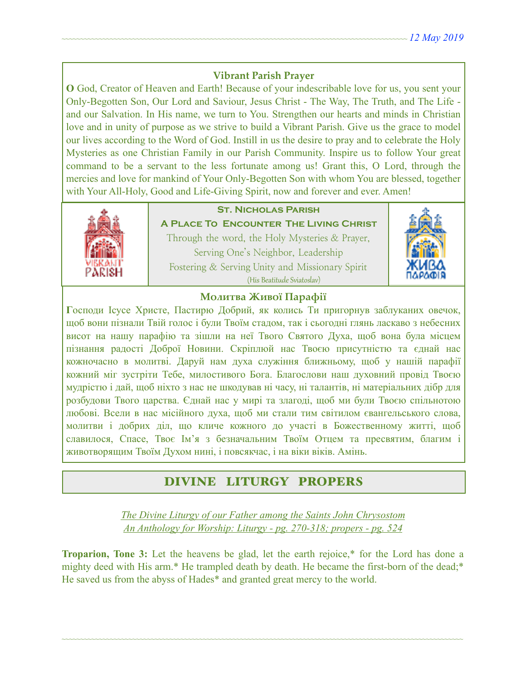# **Vibrant Parish Prayer**

**O** God, Creator of Heaven and Earth! Because of your indescribable love for us, you sent your Only-Begotten Son, Our Lord and Saviour, Jesus Christ - The Way, The Truth, and The Life and our Salvation. In His name, we turn to You. Strengthen our hearts and minds in Christian love and in unity of purpose as we strive to build a Vibrant Parish. Give us the grace to model our lives according to the Word of God. Instill in us the desire to pray and to celebrate the Holy Mysteries as one Christian Family in our Parish Community. Inspire us to follow Your great command to be a servant to the less fortunate among us! Grant this, O Lord, through the mercies and love for mankind of Your Only-Begotten Son with whom You are blessed, together with Your All-Holy, Good and Life-Giving Spirit, now and forever and ever. Amen!



# **St. Nicholas Parish**

**A Place To Encounter The Living Christ** Through the word, the Holy Mysteries & Prayer, Serving One's Neighbor, Leadership Fostering & Serving Unity and Missionary Spirit (His Beatitude Sviatoslav)



# **Молитва Живої Парафії**

**Г**осподи Ісусе Христе, Пастирю Добрий, як колись Ти пригорнув заблуканих овечок, щоб вони пізнали Твій голос і були Твоїм стадом, так і сьогодні глянь ласкаво з небесних висот на нашу парафію та зішли на неї Твого Святого Духа, щоб вона була місцем пізнання радості Доброї Новини. Скріплюй нас Твоєю присутністю та єднай нас кожночасно в молитві. Даруй нам духа служіння ближньому, щоб у нашій парафії кожний міг зустріти Тебе, милостивого Бога. Благослови наш духовний провід Твоєю мудрістю і дай, щоб ніхто з нас не шкодував ні часу, ні талантів, ні матеріальних дібр для розбудови Твого царства. Єднай нас у мирі та злагоді, щоб ми були Твоєю спільнотою любові. Всели в нас місійного духа, щоб ми стали тим світилом євангельського слова, молитви і добрих діл, що кличе кожного до участі в Божественному житті, щоб славилося, Спасе, Твоє Ім'я з безначальним Твоїм Отцем та пресвятим, благим і животворящим Твоїм Духом нині, і повсякчас, і на віки віків. Амінь.

# DIVINE LITURGY PROPERS

*The Divine Liturgy of our Father among the Saints John Chrysostom An Anthology for Worship: Liturgy - pg. 270-318; propers - pg. 524* 

**Troparion, Tone 3:** Let the heavens be glad, let the earth rejoice,<sup>\*</sup> for the Lord has done a mighty deed with His arm.\* He trampled death by death. He became the first-born of the dead;\* He saved us from the abyss of Hades\* and granted great mercy to the world.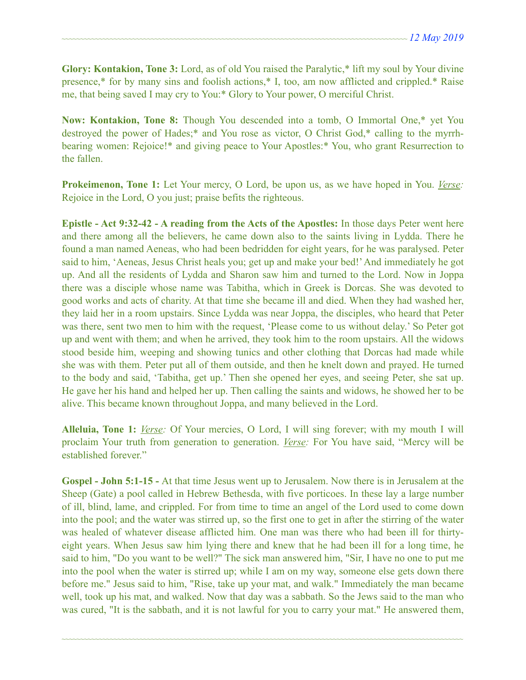**Glory: Kontakion, Tone 3:** Lord, as of old You raised the Paralytic,\* lift my soul by Your divine presence,\* for by many sins and foolish actions,\* I, too, am now afflicted and crippled.\* Raise me, that being saved I may cry to You:\* Glory to Your power, O merciful Christ.

**Now: Kontakion, Tone 8:** Though You descended into a tomb, O Immortal One,\* yet You destroyed the power of Hades;\* and You rose as victor, O Christ God,\* calling to the myrrhbearing women: Rejoice!\* and giving peace to Your Apostles:\* You, who grant Resurrection to the fallen.

**Prokeimenon, Tone 1:** Let Your mercy, O Lord, be upon us, as we have hoped in You. *Verse:*  Rejoice in the Lord, O you just; praise befits the righteous.

**Epistle - Act 9:32-42 - A reading from the Acts of the Apostles:** In those days Peter went here and there among all the believers, he came down also to the saints living in Lydda. There he found a man named Aeneas, who had been bedridden for eight years, for he was paralysed. Peter said to him, 'Aeneas, Jesus Christ heals you; get up and make your bed!' And immediately he got up. And all the residents of Lydda and Sharon saw him and turned to the Lord. Now in Joppa there was a disciple whose name was Tabitha, which in Greek is Dorcas. She was devoted to good works and acts of charity. At that time she became ill and died. When they had washed her, they laid her in a room upstairs. Since Lydda was near Joppa, the disciples, who heard that Peter was there, sent two men to him with the request, 'Please come to us without delay.' So Peter got up and went with them; and when he arrived, they took him to the room upstairs. All the widows stood beside him, weeping and showing tunics and other clothing that Dorcas had made while she was with them. Peter put all of them outside, and then he knelt down and prayed. He turned to the body and said, 'Tabitha, get up.' Then she opened her eyes, and seeing Peter, she sat up. He gave her his hand and helped her up. Then calling the saints and widows, he showed her to be alive. This became known throughout Joppa, and many believed in the Lord.

**Alleluia, Tone 1:** *Verse:* Of Your mercies, O Lord, I will sing forever; with my mouth I will proclaim Your truth from generation to generation. *Verse:* For You have said, "Mercy will be established forever."

**Gospel - John 5:1-15 -** At that time Jesus went up to Jerusalem. Now there is in Jerusalem at the Sheep (Gate) a pool called in Hebrew Bethesda, with five porticoes. In these lay a large number of ill, blind, lame, and crippled. For from time to time an angel of the Lord used to come down into the pool; and the water was stirred up, so the first one to get in after the stirring of the water was healed of whatever disease afflicted him. One man was there who had been ill for thirtyeight years. When Jesus saw him lying there and knew that he had been ill for a long time, he said to him, "Do you want to be well?" The sick man answered him, "Sir, I have no one to put me into the pool when the water is stirred up; while I am on my way, someone else gets down there before me." Jesus said to him, "Rise, take up your mat, and walk." Immediately the man became well, took up his mat, and walked. Now that day was a sabbath. So the Jews said to the man who was cured, "It is the sabbath, and it is not lawful for you to carry your mat." He answered them,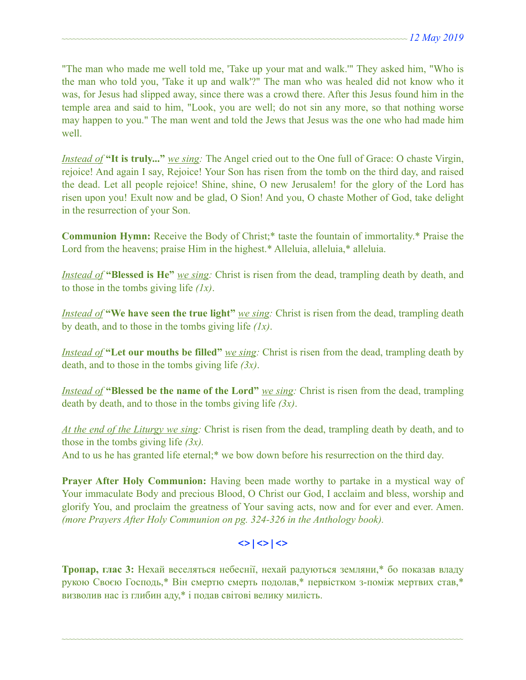"The man who made me well told me, 'Take up your mat and walk.'" They asked him, "Who is the man who told you, 'Take it up and walk'?" The man who was healed did not know who it was, for Jesus had slipped away, since there was a crowd there. After this Jesus found him in the temple area and said to him, "Look, you are well; do not sin any more, so that nothing worse may happen to you." The man went and told the Jews that Jesus was the one who had made him well.

*Instead of* **"It is truly..."** *we sing:* The Angel cried out to the One full of Grace: O chaste Virgin, rejoice! And again I say, Rejoice! Your Son has risen from the tomb on the third day, and raised the dead. Let all people rejoice! Shine, shine, O new Jerusalem! for the glory of the Lord has risen upon you! Exult now and be glad, O Sion! And you, O chaste Mother of God, take delight in the resurrection of your Son.

**Communion Hymn:** Receive the Body of Christ;\* taste the fountain of immortality.\* Praise the Lord from the heavens; praise Him in the highest.\* Alleluia, alleluia,\* alleluia.

*Instead of* **"Blessed is He"** *we sing:* Christ is risen from the dead, trampling death by death, and to those in the tombs giving life *(1x)*.

*Instead of* **"We have seen the true light"** *we sing:* Christ is risen from the dead, trampling death by death, and to those in the tombs giving life *(1x)*.

*Instead of* "Let our mouths be filled" *we sing*: Christ is risen from the dead, trampling death by death, and to those in the tombs giving life *(3x)*.

*Instead of* **"Blessed be the name of the Lord"** *we sing:* Christ is risen from the dead, trampling death by death, and to those in the tombs giving life *(3x)*.

*At the end of the Liturgy we sing:* Christ is risen from the dead, trampling death by death, and to those in the tombs giving life *(3x).* 

And to us he has granted life eternal;<sup>\*</sup> we bow down before his resurrection on the third day.

**Prayer After Holy Communion:** Having been made worthy to partake in a mystical way of Your immaculate Body and precious Blood, O Christ our God, I acclaim and bless, worship and glorify You, and proclaim the greatness of Your saving acts, now and for ever and ever. Amen. *(more Prayers After Holy Communion on pg. 324-326 in the Anthology book).* 

# $\langle$ > $|$  <> $|$  <> $|$  <>

**Тропар, глас 3:** Нехай веселяться небеснії, нехай радуються земляни,\* бо показав владу рукою Своєю Господь,\* Він смертю смерть подолав,\* первістком з-поміж мертвих став,\* визволив нас із глибин аду,\* і подав світові велику милість.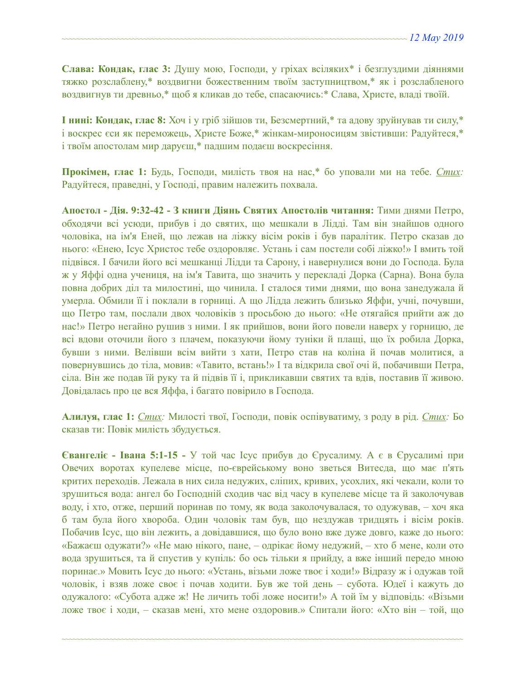**Слава: Кондак, глас 3:** Душу мою, Господи, у гріхах всіляких\* і безглуздими діяннями тяжко розслаблену,\* воздвигни божественним твоїм заступництвом,\* як і розслабленого воздвигнув ти древньо,\* щоб я кликав до тебе, спасаючись:\* Слава, Христе, владі твоїй.

**І нині: Кондак, глас 8:** Хоч і у гріб зійшов ти, Безсмертний,\* та адову зруйнував ти силу,\* і воскрес єси як переможець, Христе Боже,\* жінкам-мироносицям звістивши: Радуйтеся,\* і твоїм апостолам мир даруєш,\* падшим подаєш воскресіння.

**Прокімен, глас 1:** Будь, Господи, милість твоя на нас,\* бо уповали ми на тебе. *Cтих:*  Радуйтеся, праведні, у Господі, правим належить похвала.

**Апостол - Дія. 9:32-42 - З книги Діянь Святих Апостолів читання:** Тими днями Петро, обходячи всі усюди, прибув і до святих, що мешкали в Лідді. Там він знайшов одного чоловіка, на ім'я Еней, що лежав на ліжку вісім років і був паралітик. Петро сказав до нього: «Енею, Ісус Христос тебе оздоровляє. Устань і сам постели собі ліжко!» І вмить той підвівся. І бачили його всі мешканці Лідди та Сарону, і навернулися вони до Господа. Була ж у Яффі одна учениця, на ім'я Тавита, що значить у перекладі Дорка (Сарна). Вона була повна добрих діл та милостині, що чинила. І сталося тими днями, що вона занедужала й умерла. Обмили її і поклали в горниці. А що Лідда лежить близько Яффи, учні, почувши, що Петро там, послали двох чоловіків з просьбою до нього: «Не отягайся прийти аж до нас!» Петро негайно рушив з ними. І як прийшов, вони його повели наверх у горницю, де всі вдови оточили його з плачем, показуючи йому туніки й плащі, що їх робила Дорка, бувши з ними. Велівши всім вийти з хати, Петро став на коліна й почав молитися, а повернувшись до тіла, мовив: «Тавито, встань!» І та відкрила свої очі й, побачивши Петра, сіла. Він же подав їй руку та й підвів її і, прикликавши святих та вдів, поставив її живою. Довідалась про це вся Яффа, і багато повірило в Господа.

**Алилуя, глас 1:** *Cтих:* Милості твої, Господи, повік оспівуватиму, з роду в рід. *Cтих:* Бо сказав ти: Повік милість збудується.

**Євангеліє - Івана 5:1-15 -** У той час Ісус прибув до Єрусалиму. А є в Єрусалимі при Овечих воротах купелеве місце, по-єврейському воно зветься Витесда, що має п'ять критих переходів. Лежала в них сила недужих, сліпих, кривих, усохлих, які чекали, коли то зрушиться вода: ангел бо Господній сходив час від часу в купелеве місце та й заколочував воду, і хто, отже, перший поринав по тому, як вода заколочувалася, то одужував, – хоч яка б там була його хвороба. Один чоловік там був, що нездужав тридцять і вісім років. Побачив Ісус, що він лежить, а довідавшися, що було воно вже дуже довго, каже до нього: «Бажаєш одужати?» «Не маю нікого, пане, – одрікає йому недужий, – хто б мене, коли ото вода зрушиться, та й спустив у купіль: бо ось тільки я прийду, а вже інший передо мною поринає.» Мовить Ісус до нього: «Устань, візьми ложе твоє і ходи!» Відразу ж і одужав той чоловік, і взяв ложе своє і почав ходити. Був же той день – субота. Юдеї і кажуть до одужалого: «Субота адже ж! Не личить тобі ложе носити!» А той їм у відповідь: «Візьми ложе твоє і ходи, – сказав мені, хто мене оздоровив.» Спитали його: «Хто він – той, що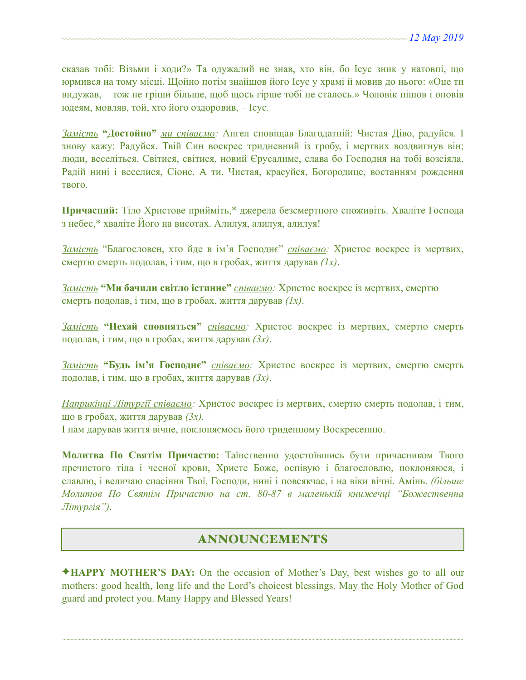сказав тобі: Візьми і ходи?» Та одужалий не знав, хто він, бо Ісус зник у натовпі, що юрмився на тому місці. Щойно потім знайшов його Ісус у храмі й мовив до нього: «Оце ти видужав, – тож не гріши більше, щоб щось гірше тобі не сталось.» Чоловік пішов і оповів юдеям, мовляв, той, хто його оздоровив, – Ісус.

*Замість* **"Достойно"** *ми співаємо:* Ангел сповіщав Благодатній: Чистая Діво, радуйся. І знову кажу: Радуйся. Твій Син воскрес тридневний із гробу, і мертвих воздвигнув він; люди, веселіться. Світися, світися, новий Єрусалиме, слава бо Господня на тобі возсіяла. Радій нині і веселися, Сіоне. А ти, Чистая, красуйся, Богородице, востанням рождення твого.

**Причасний:** Тіло Христове прийміть,\* джерела безсмертного споживіть. Хваліте Господа з небес,\* хваліте Його на висотах. Алилуя, aлилуя, aлилуя!

*Замість* "Благословен, хто йде в ім'я Господнє" *співаємо:* Христос воскрес із мертвих, смертю смерть подолав, і тим, що в гробах, життя дарував *(1x)*.

*Замість* **"Ми бачили світло істинне"** *співаємо:* Христос воскрес із мертвих, смертю смерть подолав, і тим, що в гробах, життя дарував *(1x)*.

*Замість* **"Нехай сповняться"** *співаємо:* Христос воскрес із мертвих, смертю смерть подолав, і тим, що в гробах, життя дарував *(3x)*.

*Замість* **"Будь ім'я Господнє"** *співаємо:* Христос воскрес із мертвих, смертю смерть подолав, і тим, що в гробах, життя дарував *(3x)*.

*Наприкінці Літургії співаємо:* Христос воскрес із мертвих, смертю смерть подолав, і тим, що в гробах, життя дарував *(3x).* І нам дарував життя вічне, поклоняємось його триденному Воскресенню.

**Молитва По Святім Причастю:** Таїнственно удостоївшись бути причасником Твого пречистого тіла і чесної крови, Христе Боже, оспівую і благословлю, поклоняюся, і славлю, і величаю спасіння Твої, Господи, нині і повсякчас, і на віки вічні. Амінь. *(більше Молитов По Святім Причастю на ст. 80-87 в маленькій книжечці "Божественна Літургія")*.

# ANNOUNCEMENTS

✦**HAPPY MOTHER'S DAY:** On the occasion of Mother's Day, best wishes go to all our mothers: good health, long life and the Lord's choicest blessings. May the Holy Mother of God guard and protect you. Many Happy and Blessed Years!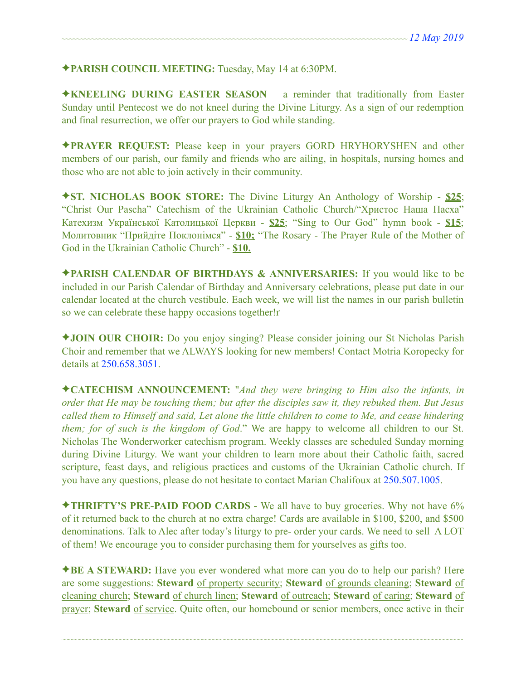✦**PARISH COUNCIL MEETING:** Tuesday, May 14 at 6:30PM.

✦**KNEELING DURING EASTER SEASON** – a reminder that traditionally from Easter Sunday until Pentecost we do not kneel during the Divine Liturgy. As a sign of our redemption and final resurrection, we offer our prayers to God while standing.

✦**PRAYER REQUEST:** Please keep in your prayers GORD HRYHORYSHEN and other members of our parish, our family and friends who are ailing, in hospitals, nursing homes and those who are not able to join actively in their community.

✦**ST. NICHOLAS BOOK STORE:** The Divine Liturgy An Anthology of Worship - **\$25**; "Christ Our Pascha" Catechism of the Ukrainian Catholic Church/"Христос Наша Пасха" Катехизм Української Католицької Церкви - **\$25**; "Sing to Our God" hymn book - **\$15**; Молитовник "Прийдіте Поклонімся" - **\$10;** "The Rosary - The Prayer Rule of the Mother of God in the Ukrainian Catholic Church" - **\$10.** 

✦**PARISH CALENDAR OF BIRTHDAYS & ANNIVERSARIES:** If you would like to be included in our Parish Calendar of Birthday and Anniversary celebrations, please put date in our calendar located at the church vestibule. Each week, we will list the names in our parish bulletin so we can celebrate these happy occasions together!<sup>r</sup>

✦**JOIN OUR CHOIR:** Do you enjoy singing? Please consider joining our St Nicholas Parish Choir and remember that we ALWAYS looking for new members! Contact Motria Koropecky for details at 250.658.3051.

✦**CATECHISM ANNOUNCEMENT:** "*And they were bringing to Him also the infants, in order that He may be touching them; but after the disciples saw it, they rebuked them. But Jesus called them to Himself and said, Let alone the little children to come to Me, and cease hindering them; for of such is the kingdom of God*." We are happy to welcome all children to our St. Nicholas The Wonderworker catechism program. Weekly classes are scheduled Sunday morning during Divine Liturgy. We want your children to learn more about their Catholic faith, sacred scripture, feast days, and religious practices and customs of the Ukrainian Catholic church. If you have any questions, please do not hesitate to contact Marian Chalifoux at 250.507.1005.

✦**THRIFTY'S PRE-PAID FOOD CARDS -** We all have to buy groceries. Why not have 6% of it returned back to the church at no extra charge! Cards are available in \$100, \$200, and \$500 denominations. Talk to Alec after today's liturgy to pre- order your cards. We need to sell A LOT of them! We encourage you to consider purchasing them for yourselves as gifts too.

✦**BE A STEWARD:** Have you ever wondered what more can you do to help our parish? Here are some suggestions: **Steward** of property security; **Steward** of grounds cleaning; **Steward** of cleaning church; **Steward** of church linen; **Steward** of outreach; **Steward** of caring; **Steward** of prayer; **Steward** of service. Quite often, our homebound or senior members, once active in their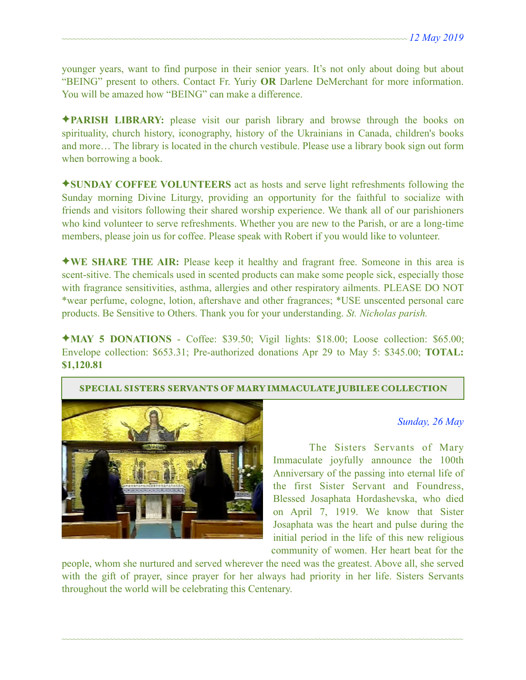younger years, want to find purpose in their senior years. It's not only about doing but about "BEING" present to others. Contact Fr. Yuriy **OR** Darlene DeMerchant for more information. You will be amazed how "BEING" can make a difference.

✦**PARISH LIBRARY:** please visit our parish library and browse through the books on spirituality, church history, iconography, history of the Ukrainians in Canada, children's books and more… The library is located in the church vestibule. Please use a library book sign out form when borrowing a book.

✦**SUNDAY COFFEE VOLUNTEERS** act as hosts and serve light refreshments following the Sunday morning Divine Liturgy, providing an opportunity for the faithful to socialize with friends and visitors following their shared worship experience. We thank all of our parishioners who kind volunteer to serve refreshments. Whether you are new to the Parish, or are a long-time members, please join us for coffee. Please speak with Robert if you would like to volunteer.

✦**WE SHARE THE AIR:** Please keep it healthy and fragrant free. Someone in this area is scent-sitive. The chemicals used in scented products can make some people sick, especially those with fragrance sensitivities, asthma, allergies and other respiratory ailments. PLEASE DO NOT \*wear perfume, cologne, lotion, aftershave and other fragrances; \*USE unscented personal care products. Be Sensitive to Others. Thank you for your understanding. *St. Nicholas parish.* 

✦**MAY 5 DONATIONS** - Coffee: \$39.50; Vigil lights: \$18.00; Loose collection: \$65.00; Envelope collection: \$653.31; Pre-authorized donations Apr 29 to May 5: \$345.00; **TOTAL: \$1,120.81**

## SPECIAL SISTERS SERVANTS OF MARY IMMACULATE JUBILEE COLLECTION



# *Sunday, 26 May*

 The Sisters Servants of Mary Immaculate joyfully announce the 100th Anniversary of the passing into eternal life of the first Sister Servant and Foundress, Blessed Josaphata Hordashevska, who died on April 7, 1919. We know that Sister Josaphata was the heart and pulse during the initial period in the life of this new religious community of women. Her heart beat for the

people, whom she nurtured and served wherever the need was the greatest. Above all, she served with the gift of prayer, since prayer for her always had priority in her life. Sisters Servants throughout the world will be celebrating this Centenary.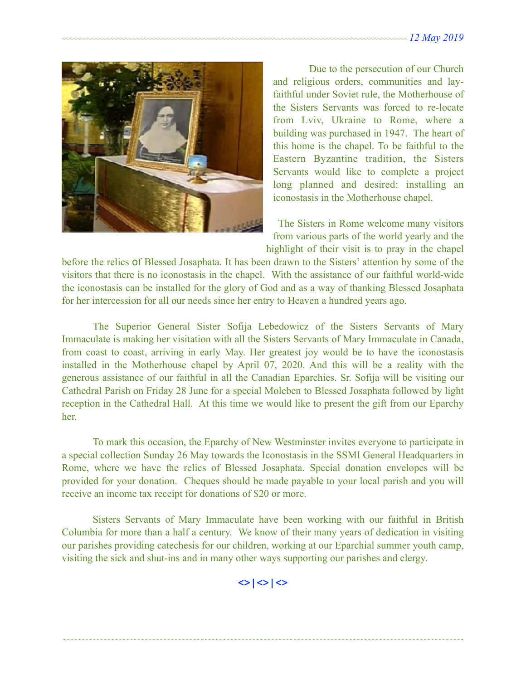

 Due to the persecution of our Church and religious orders, communities and layfaithful under Soviet rule, the Motherhouse of the Sisters Servants was forced to re-locate from Lviv, Ukraine to Rome, where a building was purchased in 1947. The heart of this home is the chapel. To be faithful to the Eastern Byzantine tradition, the Sisters Servants would like to complete a project long planned and desired: installing an iconostasis in the Motherhouse chapel.

 The Sisters in Rome welcome many visitors from various parts of the world yearly and the highlight of their visit is to pray in the chapel

before the relics оf Blessed Josaphata. It has been drawn to the Sisters' attention by some of the visitors that there is no iconostasis in the chapel. With the assistance of our faithful world-wide the iconostasis can be installed for the glory of God and as a way of thanking Blessed Josaphata for her intercession for all our needs since her entry to Heaven a hundred years ago.

 The Superior General Sister Sofija Lebedowicz of the Sisters Servants of Mary Immaculate is making her visitation with all the Sisters Servants of Mary Immaculate in Canada, from coast to coast, arriving in early May. Her greatest joy would be to have the iconostasis installed in the Motherhouse chapel by April 07, 2020. And this will be a reality with the generous assistance of our faithful in all the Canadian Eparchies. Sr. Sofija will be visiting our Cathedral Parish on Friday 28 June for a special Moleben to Blessed Josaphata followed by light reception in the Cathedral Hall. At this time we would like to present the gift from our Eparchy her.

 To mark this occasion, the Eparchy of New Westminster invites everyone to participate in a special collection Sunday 26 May towards the Iconostasis in the SSMI General Headquarters in Rome, where we have the relics of Blessed Josaphata. Special donation envelopes will be provided for your donation. Cheques should be made payable to your local parish and you will receive an income tax receipt for donations of \$20 or more.

 Sisters Servants of Mary Immaculate have been working with our faithful in British Columbia for more than a half a century. We know of their many years of dedication in visiting our parishes providing catechesis for our children, working at our Eparchial summer youth camp, visiting the sick and shut-ins and in many other ways supporting our parishes and clergy.

 $\langle$ > $|$  <> $|$  <> $|$  <>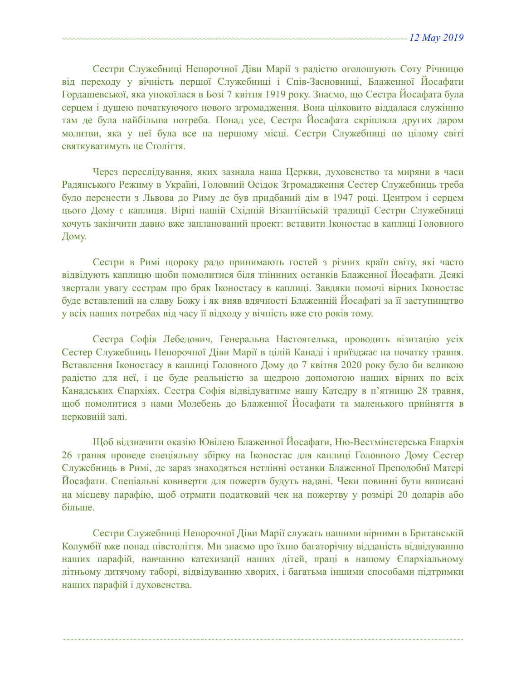Сестри Служебниці Непорочної Діви Марії з радістю оголошують Соту Річницю від переходу у вічність першої Служебниці і Спів-Засновниці, Блаженної Йосафати Гордашевської, яка упокоїлася в Бозі 7 квітня 1919 року. Знаємо, що Сестра Йосафата була серцем і душею початкуючого нового згромадження. Вона цілковито віддалася служінню там де була найбільша потреба. Понад усе, Сестра Йосафата скріпляла других даром молитви, яка у неї була все на першому місці. Сестри Служебниці по цілому світі святкуватимуть це Століття.

Через переслідування, яких зазнала наша Церкви, духовенство та миряни в часи Радянського Режиму в Україні, Головний Осідок Згромадження Сестер Служебниць треба було перенести з Львова до Риму де був придбаний дім в 1947 році. Центром і серцем цього Дому є каплиця. Вірні нашій Східній Візантійській традиції Сестри Служебниці хочуть закінчити давно вже запланований проект: вставити Іконостас в каплиці Головного Дому.

Сестри в Римі щороку радо принимають гостей з різних країн світу, які часто відвідують каплицю щоби помолитися біля тліннних останків Блаженної Йосафати. Деякі звертали увагу сестрам про брак Іконостасу в каплиці. Завдяки помочі вірних Іконостас буде вставлений на славу Божу і як вияв вдячності Блаженній Йосафаті за її заступництво у всіх наших потребах від часу її відходу у вічність вже сто років тому.

Сестра Софія Лебедович, Генеральна Настоятелька, проводить візитацію усіх Сестер Служебниць Непорочної Діви Марії в цілій Канаді і приїзджає на початку травня. Вставлення Іконостасу в каплиці Головного Дому до 7 квітня 2020 року було би великою радістю для неї, і це буде реальністю за щедрою допомогою наших вірних по всіх Канадських Єпархіях. Сестра Софія відвідуватиме нашу Катедру в п'ятницю 28 травня, щоб помолитися з нами Молебень до Блаженної Йосафати та маленького прийняття в церковній залі.

Щоб відзначити оказію Ювілею Блаженної Йосафати, Ню-Вестмінстерська Епархія 26 транвя проведе спеціяльну збірку на Іконостас для каплиці Головного Дому Сестер Служебниць в Римі, де зараз знаходяться нетлінні останки Блаженної Преподобнї Матері Йосафати. Спеціальні ковнверти для пожертв будуть надані. Чеки повинні бути виписані на місцеву парафію, щоб отрмати податковий чек на пожертву у розмірі 20 доларів або більше.

Сестри Служебниці Непорочної Діви Марії служать нашими вірними в Британській Колумбії вже понад півстоліття. Ми знаємо про їхню багаторічну відданість відвідуванню наших парафій, навчанню катехизації наших дітей, праці в нашому Єпархіальному літньому дитячому таборі, відвідуванню хворих, і багатьма іншими способами підтримки наших парафій і духовенства.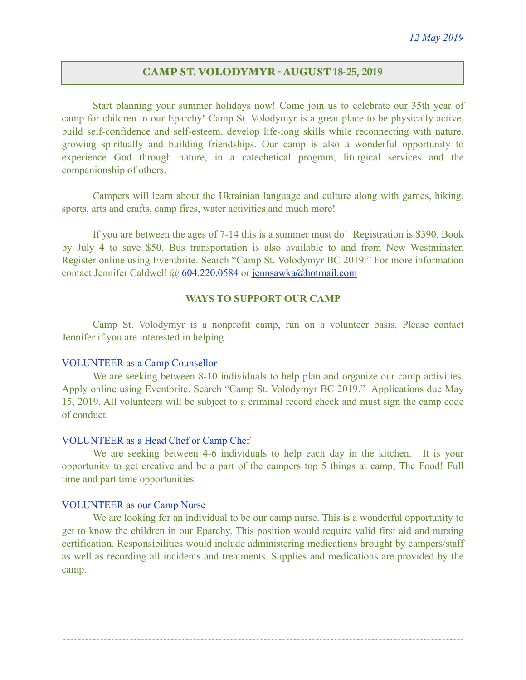### CAMP ST. VOLODYMYR - AUGUST **18-25, 2019**

 Start planning your summer holidays now! Come join us to celebrate our 35th year of camp for children in our Eparchy! Camp St. Volodymyr is a great place to be physically active, build self-confidence and self-esteem, develop life-long skills while reconnecting with nature, growing spiritually and building friendships. Our camp is also a wonderful opportunity to experience God through nature, in a catechetical program, liturgical services and the companionship of others.

Campers will learn about the Ukrainian language and culture along with games, hiking, sports, arts and crafts, camp fires, water activities and much more!

If you are between the ages of 7-14 this is a summer must do! Registration is \$390. Book by July 4 to save \$50. Bus transportation is also available to and from New Westminster. Register online using Eventbrite. Search "Camp St. Volodymyr BC 2019." For more information contact Jennifer Caldwell @ 604.220.0584 or [jennsawka@hotmail.com](mailto:jennsawka@hotmail.com)

## **WAYS TO SUPPORT OUR CAMP**

Camp St. Volodymyr is a nonprofit camp, run on a volunteer basis. Please contact Jennifer if you are interested in helping.

### VOLUNTEER as a Camp Counsellor

We are seeking between 8-10 individuals to help plan and organize our camp activities. Apply online using Eventbrite. Search "Camp St. Volodymyr BC 2019." Applications due May 15, 2019. All volunteers will be subject to a criminal record check and must sign the camp code of conduct.

#### VOLUNTEER as a Head Chef or Camp Chef

We are seeking between 4-6 individuals to help each day in the kitchen. It is your opportunity to get creative and be a part of the campers top 5 things at camp; The Food! Full time and part time opportunities

### VOLUNTEER as our Camp Nurse

We are looking for an individual to be our camp nurse. This is a wonderful opportunity to get to know the children in our Eparchy. This position would require valid first aid and nursing certification. Responsibilities would include administering medications brought by campers/staff as well as recording all incidents and treatments. Supplies and medications are provided by the camp.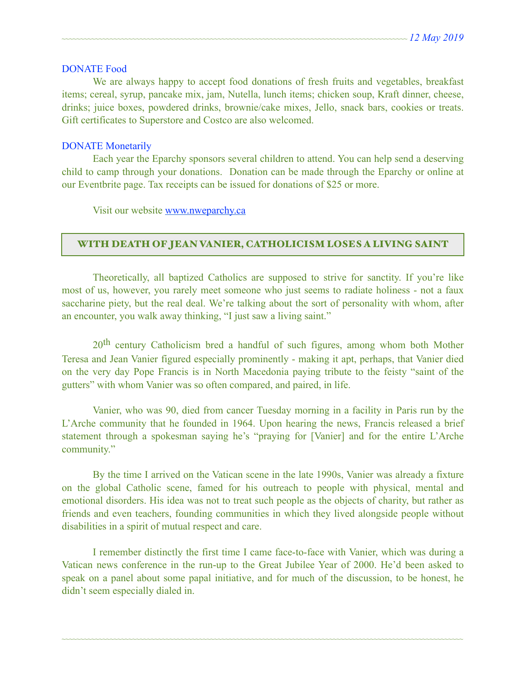### DONATE Food

We are always happy to accept food donations of fresh fruits and vegetables, breakfast items; cereal, syrup, pancake mix, jam, Nutella, lunch items; chicken soup, Kraft dinner, cheese, drinks; juice boxes, powdered drinks, brownie/cake mixes, Jello, snack bars, cookies or treats. Gift certificates to Superstore and Costco are also welcomed.

## DONATE Monetarily

Each year the Eparchy sponsors several children to attend. You can help send a deserving child to camp through your donations. Donation can be made through the Eparchy or online at our Eventbrite page. Tax receipts can be issued for donations of \$25 or more.

Visit our website [www.nweparchy.ca](http://www.nweparchy.ca/)

## WITH DEATH OF JEAN VANIER, CATHOLICISM LOSES A LIVING SAINT

 Theoretically, all baptized Catholics are supposed to strive for sanctity. If you're like most of us, however, you rarely meet someone who just seems to radiate holiness - not a faux saccharine piety, but the real deal. We're talking about the sort of personality with whom, after an encounter, you walk away thinking, "I just saw a living saint."

 20th century Catholicism bred a handful of such figures, among whom both Mother Teresa and Jean Vanier figured especially prominently - making it apt, perhaps, that Vanier died on the very day Pope Francis is in North Macedonia paying tribute to the feisty "saint of the gutters" with whom Vanier was so often compared, and paired, in life.

 Vanier, who was 90, died from cancer Tuesday morning in a facility in Paris run by the L'Arche community that he founded in 1964. Upon hearing the news, Francis released a brief statement through a spokesman saying he's "praying for [Vanier] and for the entire L'Arche community."

 By the time I arrived on the Vatican scene in the late 1990s, Vanier was already a fixture on the global Catholic scene, famed for his outreach to people with physical, mental and emotional disorders. His idea was not to treat such people as the objects of charity, but rather as friends and even teachers, founding communities in which they lived alongside people without disabilities in a spirit of mutual respect and care.

 I remember distinctly the first time I came face-to-face with Vanier, which was during a Vatican news conference in the run-up to the Great Jubilee Year of 2000. He'd been asked to speak on a panel about some papal initiative, and for much of the discussion, to be honest, he didn't seem especially dialed in.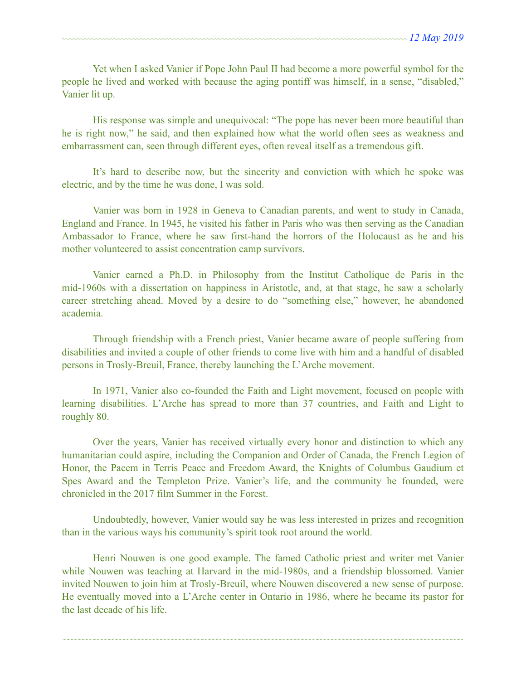Yet when I asked Vanier if Pope John Paul II had become a more powerful symbol for the people he lived and worked with because the aging pontiff was himself, in a sense, "disabled," Vanier lit up.

 His response was simple and unequivocal: "The pope has never been more beautiful than he is right now," he said, and then explained how what the world often sees as weakness and embarrassment can, seen through different eyes, often reveal itself as a tremendous gift.

 It's hard to describe now, but the sincerity and conviction with which he spoke was electric, and by the time he was done, I was sold.

 Vanier was born in 1928 in Geneva to Canadian parents, and went to study in Canada, England and France. In 1945, he visited his father in Paris who was then serving as the Canadian Ambassador to France, where he saw first-hand the horrors of the Holocaust as he and his mother volunteered to assist concentration camp survivors.

 Vanier earned a Ph.D. in Philosophy from the Institut Catholique de Paris in the mid-1960s with a dissertation on happiness in Aristotle, and, at that stage, he saw a scholarly career stretching ahead. Moved by a desire to do "something else," however, he abandoned academia.

 Through friendship with a French priest, Vanier became aware of people suffering from disabilities and invited a couple of other friends to come live with him and a handful of disabled persons in Trosly-Breuil, France, thereby launching the L'Arche movement.

 In 1971, Vanier also co-founded the Faith and Light movement, focused on people with learning disabilities. L'Arche has spread to more than 37 countries, and Faith and Light to roughly 80.

 Over the years, Vanier has received virtually every honor and distinction to which any humanitarian could aspire, including the Companion and Order of Canada, the French Legion of Honor, the Pacem in Terris Peace and Freedom Award, the Knights of Columbus Gaudium et Spes Award and the Templeton Prize. Vanier's life, and the community he founded, were chronicled in the 2017 film Summer in the Forest.

 Undoubtedly, however, Vanier would say he was less interested in prizes and recognition than in the various ways his community's spirit took root around the world.

 Henri Nouwen is one good example. The famed Catholic priest and writer met Vanier while Nouwen was teaching at Harvard in the mid-1980s, and a friendship blossomed. Vanier invited Nouwen to join him at Trosly-Breuil, where Nouwen discovered a new sense of purpose. He eventually moved into a L'Arche center in Ontario in 1986, where he became its pastor for the last decade of his life.